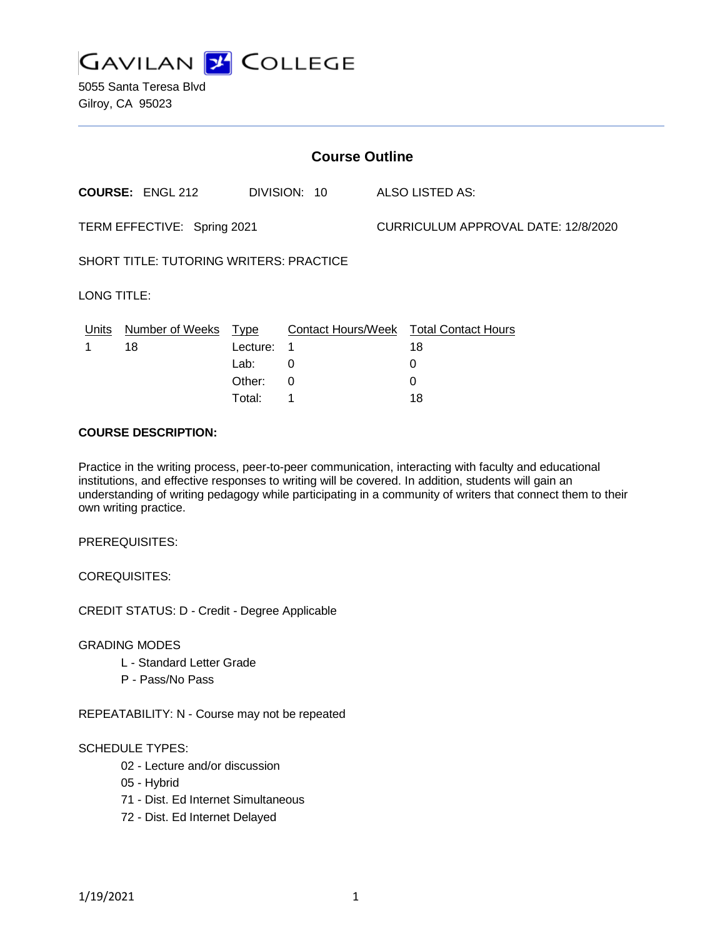

5055 Santa Teresa Blvd Gilroy, CA 95023

| <b>Course Outline</b>                          |                         |          |              |                                     |                                               |
|------------------------------------------------|-------------------------|----------|--------------|-------------------------------------|-----------------------------------------------|
|                                                | <b>COURSE: ENGL 212</b> |          | DIVISION: 10 |                                     | ALSO LISTED AS:                               |
| TERM EFFECTIVE: Spring 2021                    |                         |          |              | CURRICULUM APPROVAL DATE: 12/8/2020 |                                               |
| <b>SHORT TITLE: TUTORING WRITERS: PRACTICE</b> |                         |          |              |                                     |                                               |
| LONG TITLE:                                    |                         |          |              |                                     |                                               |
| <u>Units</u>                                   | Number of Weeks Type    |          |              |                                     | <b>Contact Hours/Week Total Contact Hours</b> |
|                                                | 18                      | Lecture: | 1            |                                     | 18                                            |
|                                                |                         | Lab:     | 0            |                                     | 0                                             |
|                                                |                         | Other:   | 0            |                                     | 0                                             |
|                                                |                         | Total:   | 1            |                                     | 18                                            |
|                                                |                         |          |              |                                     |                                               |

### **COURSE DESCRIPTION:**

Practice in the writing process, peer-to-peer communication, interacting with faculty and educational institutions, and effective responses to writing will be covered. In addition, students will gain an understanding of writing pedagogy while participating in a community of writers that connect them to their own writing practice.

PREREQUISITES:

COREQUISITES:

CREDIT STATUS: D - Credit - Degree Applicable

GRADING MODES

- L Standard Letter Grade
- P Pass/No Pass

REPEATABILITY: N - Course may not be repeated

#### SCHEDULE TYPES:

- 02 Lecture and/or discussion
- 05 Hybrid
- 71 Dist. Ed Internet Simultaneous
- 72 Dist. Ed Internet Delayed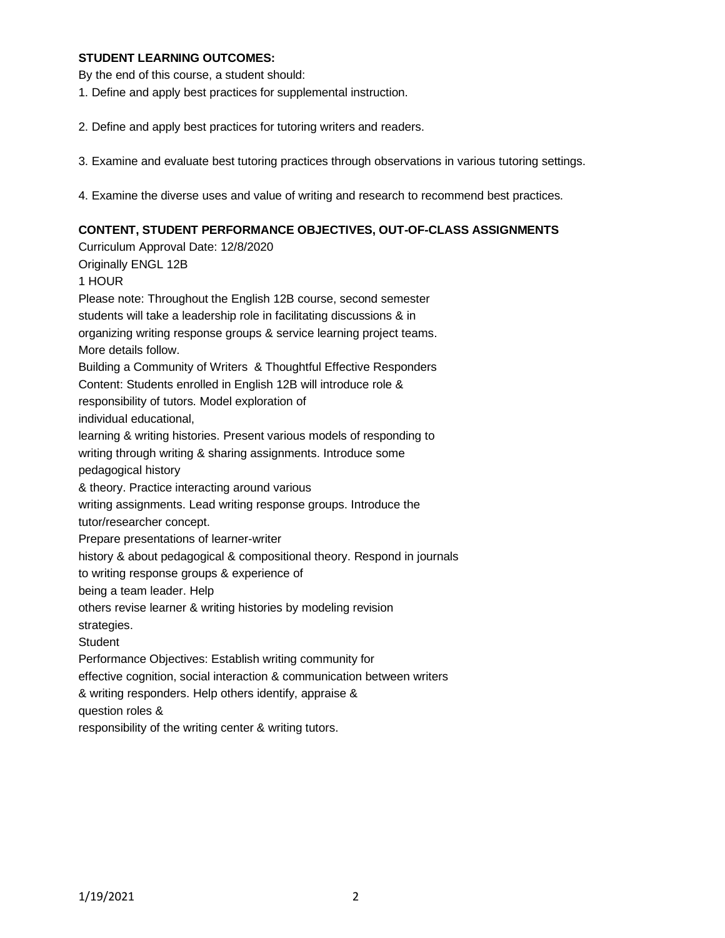### **STUDENT LEARNING OUTCOMES:**

By the end of this course, a student should:

- 1. Define and apply best practices for supplemental instruction.
- 2. Define and apply best practices for tutoring writers and readers.
- 3. Examine and evaluate best tutoring practices through observations in various tutoring settings.
- 4. Examine the diverse uses and value of writing and research to recommend best practices.

#### **CONTENT, STUDENT PERFORMANCE OBJECTIVES, OUT-OF-CLASS ASSIGNMENTS**

Curriculum Approval Date: 12/8/2020 Originally ENGL 12B 1 HOUR Please note: Throughout the English 12B course, second semester students will take a leadership role in facilitating discussions & in organizing writing response groups & service learning project teams. More details follow. Building a Community of Writers & Thoughtful Effective Responders Content: Students enrolled in English 12B will introduce role & responsibility of tutors. Model exploration of individual educational, learning & writing histories. Present various models of responding to writing through writing & sharing assignments. Introduce some pedagogical history & theory. Practice interacting around various writing assignments. Lead writing response groups. Introduce the tutor/researcher concept. Prepare presentations of learner-writer history & about pedagogical & compositional theory. Respond in journals to writing response groups & experience of being a team leader. Help others revise learner & writing histories by modeling revision strategies. **Student** Performance Objectives: Establish writing community for effective cognition, social interaction & communication between writers & writing responders. Help others identify, appraise & question roles & responsibility of the writing center & writing tutors.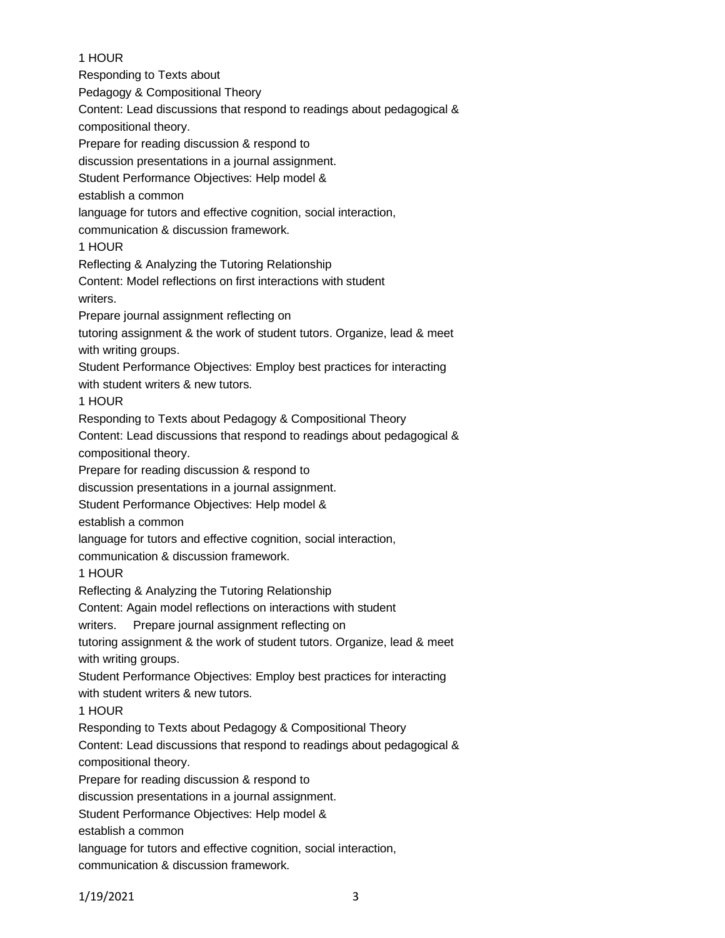## 1 HOUR

Responding to Texts about Pedagogy & Compositional Theory Content: Lead discussions that respond to readings about pedagogical & compositional theory. Prepare for reading discussion & respond to discussion presentations in a journal assignment. Student Performance Objectives: Help model & establish a common language for tutors and effective cognition, social interaction, communication & discussion framework. 1 HOUR Reflecting & Analyzing the Tutoring Relationship Content: Model reflections on first interactions with student writers. Prepare journal assignment reflecting on tutoring assignment & the work of student tutors. Organize, lead & meet with writing groups. Student Performance Objectives: Employ best practices for interacting with student writers & new tutors. 1 HOUR Responding to Texts about Pedagogy & Compositional Theory Content: Lead discussions that respond to readings about pedagogical & compositional theory. Prepare for reading discussion & respond to discussion presentations in a journal assignment. Student Performance Objectives: Help model & establish a common language for tutors and effective cognition, social interaction, communication & discussion framework. 1 HOUR Reflecting & Analyzing the Tutoring Relationship Content: Again model reflections on interactions with student writers. Prepare journal assignment reflecting on tutoring assignment & the work of student tutors. Organize, lead & meet with writing groups. Student Performance Objectives: Employ best practices for interacting with student writers & new tutors. 1 HOUR Responding to Texts about Pedagogy & Compositional Theory Content: Lead discussions that respond to readings about pedagogical & compositional theory. Prepare for reading discussion & respond to discussion presentations in a journal assignment. Student Performance Objectives: Help model & establish a common language for tutors and effective cognition, social interaction,

communication & discussion framework.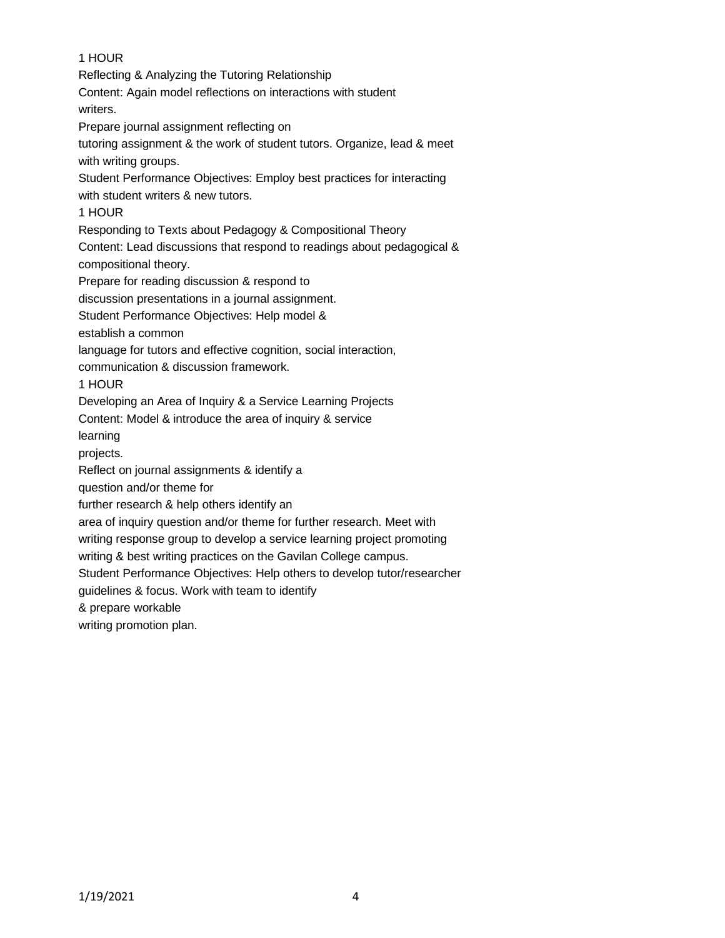# 1 HOUR Reflecting & Analyzing the Tutoring Relationship Content: Again model reflections on interactions with student writers. Prepare journal assignment reflecting on tutoring assignment & the work of student tutors. Organize, lead & meet with writing groups. Student Performance Objectives: Employ best practices for interacting with student writers & new tutors. 1 HOUR Responding to Texts about Pedagogy & Compositional Theory Content: Lead discussions that respond to readings about pedagogical & compositional theory. Prepare for reading discussion & respond to discussion presentations in a journal assignment. Student Performance Objectives: Help model & establish a common language for tutors and effective cognition, social interaction, communication & discussion framework. 1 HOUR Developing an Area of Inquiry & a Service Learning Projects Content: Model & introduce the area of inquiry & service learning projects. Reflect on journal assignments & identify a question and/or theme for further research & help others identify an area of inquiry question and/or theme for further research. Meet with writing response group to develop a service learning project promoting writing & best writing practices on the Gavilan College campus. Student Performance Objectives: Help others to develop tutor/researcher guidelines & focus. Work with team to identify & prepare workable writing promotion plan.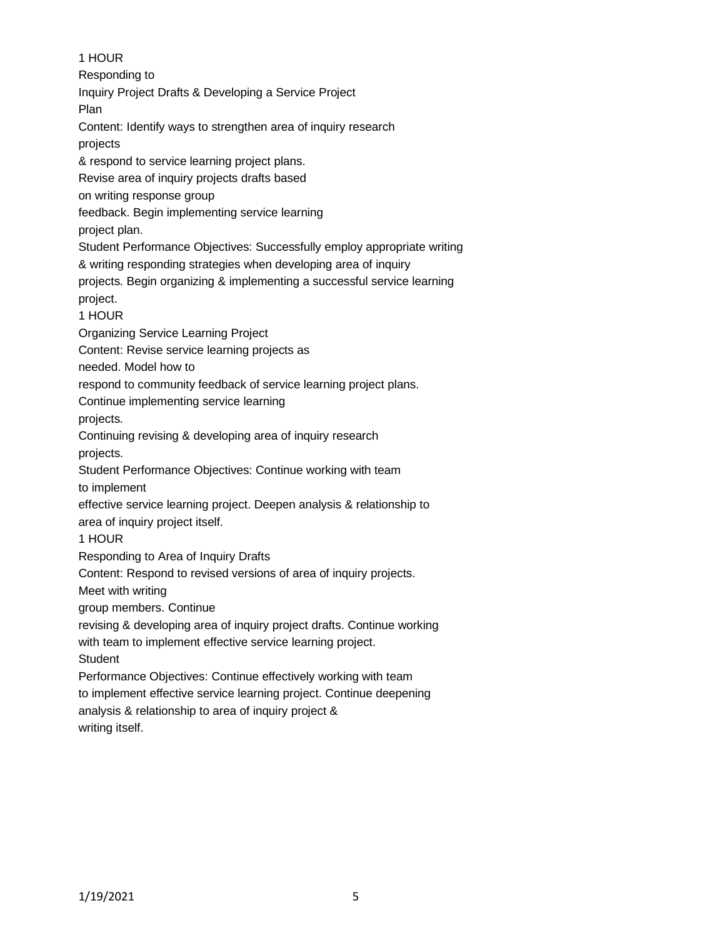1 HOUR Responding to Inquiry Project Drafts & Developing a Service Project Plan Content: Identify ways to strengthen area of inquiry research projects & respond to service learning project plans. Revise area of inquiry projects drafts based on writing response group feedback. Begin implementing service learning project plan. Student Performance Objectives: Successfully employ appropriate writing & writing responding strategies when developing area of inquiry projects. Begin organizing & implementing a successful service learning project. 1 HOUR Organizing Service Learning Project Content: Revise service learning projects as needed. Model how to respond to community feedback of service learning project plans. Continue implementing service learning projects. Continuing revising & developing area of inquiry research projects. Student Performance Objectives: Continue working with team to implement effective service learning project. Deepen analysis & relationship to area of inquiry project itself. 1 HOUR Responding to Area of Inquiry Drafts Content: Respond to revised versions of area of inquiry projects. Meet with writing group members. Continue revising & developing area of inquiry project drafts. Continue working with team to implement effective service learning project. **Student** Performance Objectives: Continue effectively working with team to implement effective service learning project. Continue deepening analysis & relationship to area of inquiry project &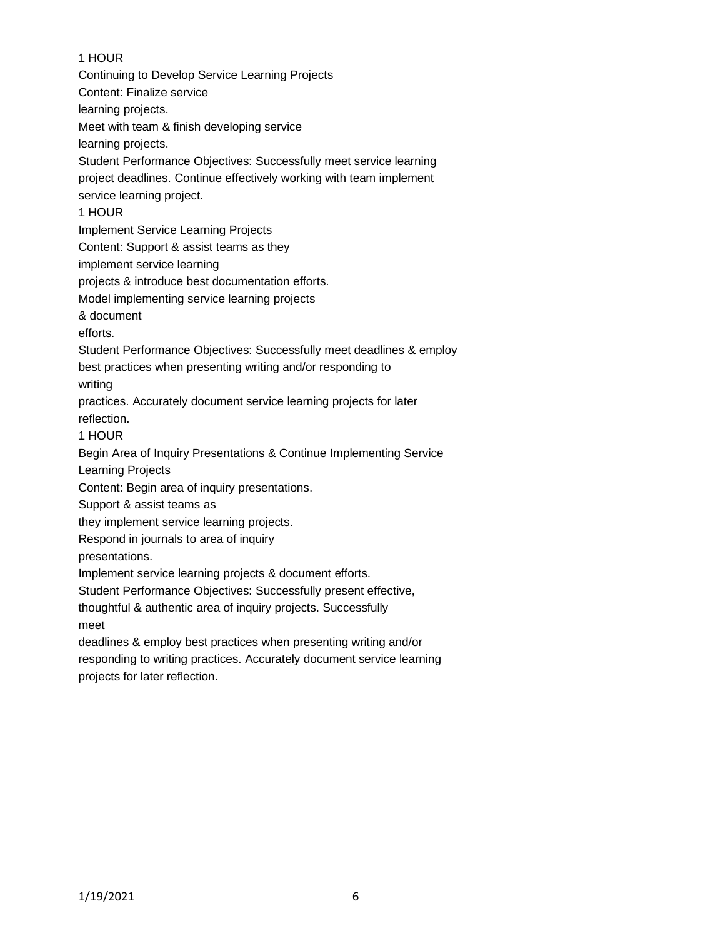# 1 HOUR

Continuing to Develop Service Learning Projects Content: Finalize service learning projects. Meet with team & finish developing service learning projects. Student Performance Objectives: Successfully meet service learning project deadlines. Continue effectively working with team implement service learning project. 1 HOUR Implement Service Learning Projects Content: Support & assist teams as they implement service learning projects & introduce best documentation efforts. Model implementing service learning projects & document efforts. Student Performance Objectives: Successfully meet deadlines & employ best practices when presenting writing and/or responding to writing practices. Accurately document service learning projects for later reflection. 1 HOUR Begin Area of Inquiry Presentations & Continue Implementing Service Learning Projects Content: Begin area of inquiry presentations. Support & assist teams as they implement service learning projects. Respond in journals to area of inquiry presentations. Implement service learning projects & document efforts. Student Performance Objectives: Successfully present effective, thoughtful & authentic area of inquiry projects. Successfully meet deadlines & employ best practices when presenting writing and/or responding to writing practices. Accurately document service learning projects for later reflection.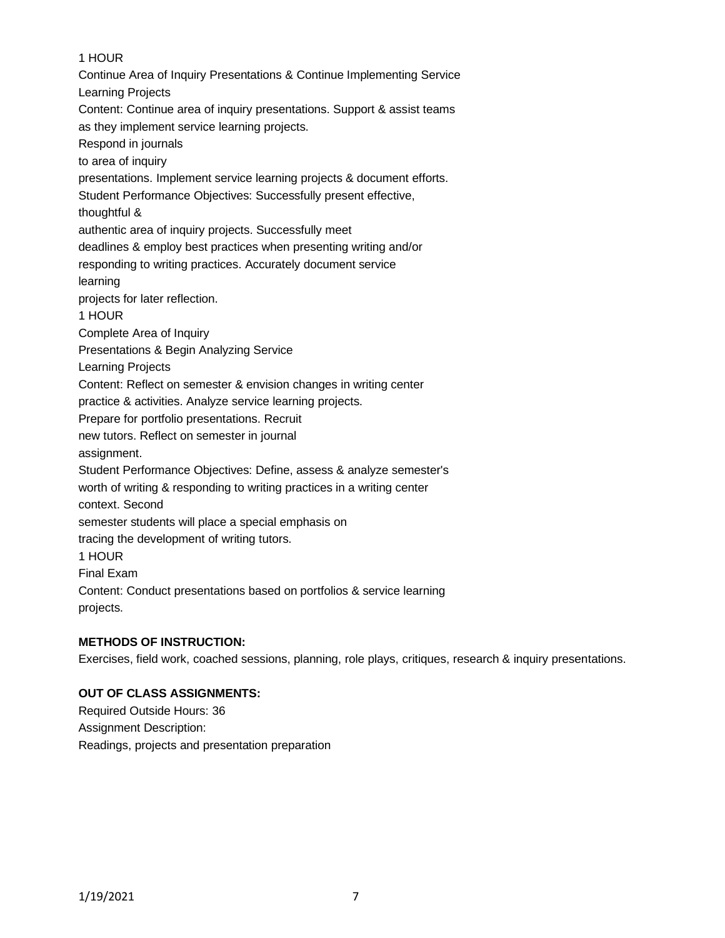# 1 HOUR

Continue Area of Inquiry Presentations & Continue Implementing Service Learning Projects Content: Continue area of inquiry presentations. Support & assist teams as they implement service learning projects. Respond in journals to area of inquiry presentations. Implement service learning projects & document efforts. Student Performance Objectives: Successfully present effective, thoughtful & authentic area of inquiry projects. Successfully meet deadlines & employ best practices when presenting writing and/or responding to writing practices. Accurately document service learning projects for later reflection. 1 HOUR Complete Area of Inquiry Presentations & Begin Analyzing Service Learning Projects Content: Reflect on semester & envision changes in writing center practice & activities. Analyze service learning projects. Prepare for portfolio presentations. Recruit new tutors. Reflect on semester in journal assignment. Student Performance Objectives: Define, assess & analyze semester's worth of writing & responding to writing practices in a writing center context. Second semester students will place a special emphasis on tracing the development of writing tutors. 1 HOUR Final Exam Content: Conduct presentations based on portfolios & service learning projects.

### **METHODS OF INSTRUCTION:**

Exercises, field work, coached sessions, planning, role plays, critiques, research & inquiry presentations.

### **OUT OF CLASS ASSIGNMENTS:**

Required Outside Hours: 36 Assignment Description: Readings, projects and presentation preparation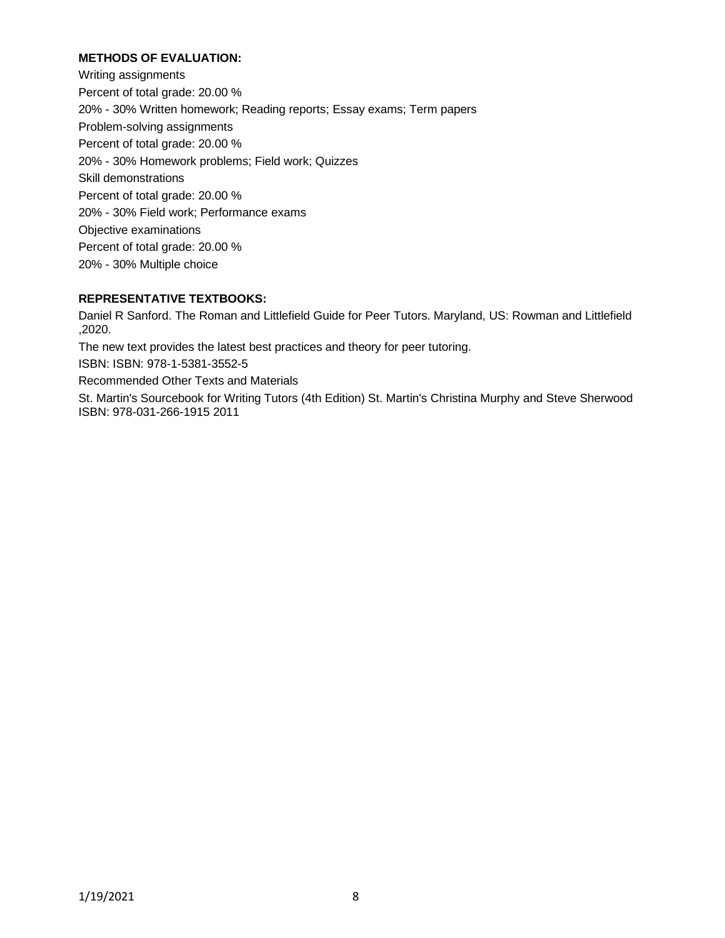### **METHODS OF EVALUATION:**

Writing assignments Percent of total grade: 20.00 % 20% - 30% Written homework; Reading reports; Essay exams; Term papers Problem-solving assignments Percent of total grade: 20.00 % 20% - 30% Homework problems; Field work; Quizzes Skill demonstrations Percent of total grade: 20.00 % 20% - 30% Field work; Performance exams Objective examinations Percent of total grade: 20.00 % 20% - 30% Multiple choice

### **REPRESENTATIVE TEXTBOOKS:**

Daniel R Sanford. The Roman and Littlefield Guide for Peer Tutors. Maryland, US: Rowman and Littlefield ,2020.

The new text provides the latest best practices and theory for peer tutoring.

ISBN: ISBN: 978-1-5381-3552-5

Recommended Other Texts and Materials

St. Martin's Sourcebook for Writing Tutors (4th Edition) St. Martin's Christina Murphy and Steve Sherwood ISBN: 978-031-266-1915 2011